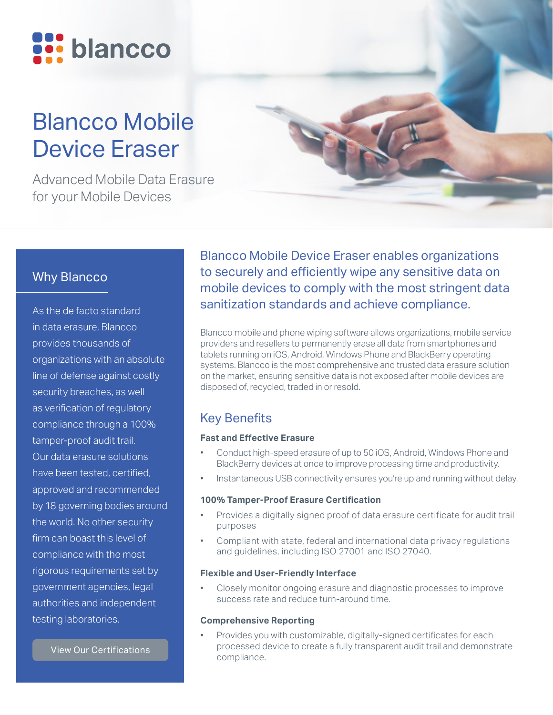

# Blancco Mobile Device Eraser

Advanced Mobile Data Erasure for your Mobile Devices

## Why Blancco

As the de facto standard in data erasure, Blancco provides thousands of organizations with an absolute line of defense against costly security breaches, as well as verification of regulatory compliance through a 100% tamper-proof audit trail. Our data erasure solutions have been tested, certified, approved and recommended by 18 governing bodies around the world. No other security firm can boast this level of compliance with the most rigorous requirements set by government agencies, legal authorities and independent testing laboratories.

[View Our Certifications](https://www.blancco.com/wp-content/uploads/2016/06/certifications_fact_sheet_eng.pdf)

Blancco Mobile Device Eraser enables organizations to securely and efficiently wipe any sensitive data on mobile devices to comply with the most stringent data sanitization standards and achieve compliance.

Blancco mobile and phone wiping software allows organizations, mobile service providers and resellers to permanently erase all data from smartphones and tablets running on iOS, Android, Windows Phone and BlackBerry operating systems. Blancco is the most comprehensive and trusted data erasure solution on the market, ensuring sensitive data is not exposed after mobile devices are disposed of, recycled, traded in or resold.

# Key Benefits

### **Fast and Effective Erasure**

- Conduct high-speed erasure of up to 50 iOS, Android, Windows Phone and BlackBerry devices at once to improve processing time and productivity.
- Instantaneous USB connectivity ensures you're up and running without delay.

#### **100% Tamper-Proof Erasure Certification**

- Provides a digitally signed proof of data erasure certificate for audit trail purposes
- Compliant with state, federal and international data privacy regulations and guidelines, including ISO 27001 and ISO 27040.

#### **Flexible and User-Friendly Interface**

• Closely monitor ongoing erasure and diagnostic processes to improve success rate and reduce turn-around time.

#### **Comprehensive Reporting**

• Provides you with customizable, digitally-signed certificates for each processed device to create a fully transparent audit trail and demonstrate compliance.